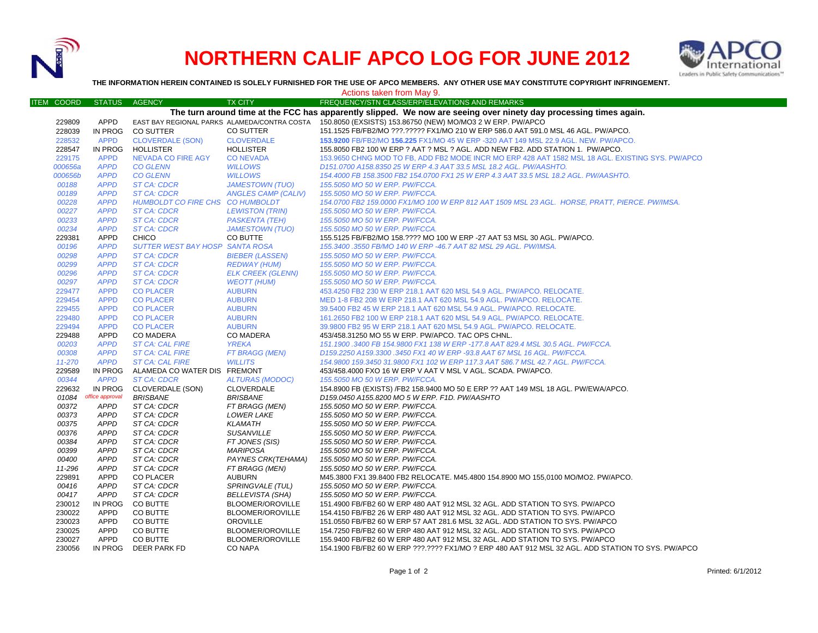

## **NORTHERN CALIF APCO LOG FOR JUNE 2012**



**THE INFORMATION HEREIN CONTAINED IS SOLELY FURNISHED FOR THE USE OF APCO MEMBERS. ANY OTHER USE MAY CONSTITUTE COPYRIGHT INFRINGEMENT.**

| Actions taken from May 9. |                            |                                  |                                     |                                                                                                                   |  |  |  |  |  |
|---------------------------|----------------------------|----------------------------------|-------------------------------------|-------------------------------------------------------------------------------------------------------------------|--|--|--|--|--|
| ITEM COORD                | <b>STATUS</b>              | <b>AGENCY</b>                    | <b>TX CITY</b>                      | FREQUENCY/STN CLASS/ERP/ELEVATIONS AND REMARKS                                                                    |  |  |  |  |  |
|                           |                            |                                  |                                     | The turn around time at the FCC has apparently slipped. We now are seeing over ninety day processing times again. |  |  |  |  |  |
| 229809                    | <b>APPD</b>                |                                  |                                     | EAST BAY REGIONAL PARKS ALAMEDA/CONTRA COSTA 150.8050 (EXSISTS) 153.86750 (NEW) MO/MO3 2 W ERP. PW/APCO           |  |  |  |  |  |
| 228039                    | IN PROG                    | <b>CO SUTTER</b>                 | CO SUTTER                           | 151.1525 FB/FB2/MO ???.????? FX1/MO 210 W ERP 586.0 AAT 591.0 MSL 46 AGL. PW/APCO.                                |  |  |  |  |  |
| 228532                    | <b>APPD</b>                | <b>CLOVERDALE (SON)</b>          | <b>CLOVERDALE</b>                   | 153,9200 FB/FB2/MO 156,225 FX1/MO 45 W ERP -320 AAT 149 MSL 22.9 AGL, NEW, PW/APCO.                               |  |  |  |  |  |
| 228547                    | IN PROG                    | <b>HOLLISTER</b>                 | <b>HOLLISTER</b>                    | 155.8050 FB2 100 W ERP ? AAT ? MSL ? AGL. ADD NEW FB2. ADD STATION 1. PW/APCO.                                    |  |  |  |  |  |
| 229175                    | <b>APPD</b>                | <b>NEVADA CO FIRE AGY</b>        | <b>CONEVADA</b>                     | 153.9650 CHNG MOD TO FB, ADD FB2 MODE INCR MO ERP 428 AAT 1582 MSL 18 AGL. EXISTING SYS. PW/APCO                  |  |  |  |  |  |
| 000656a                   | <b>APPD</b>                | <b>CO GLENN</b>                  | <b>WILLOWS</b>                      | D151.0700 A158.8350 25 W ERP 4.3 AAT 33.5 MSL 18.2 AGL. PW/AASHTO.                                                |  |  |  |  |  |
| 000656b                   | <b>APPD</b>                | <b>CO GLENN</b>                  | <b>WILLOWS</b>                      | 154.4000 FB 158.3500 FB2 154.0700 FX1 25 W ERP 4.3 AAT 33.5 MSL 18.2 AGL. PW/AASHTO.                              |  |  |  |  |  |
| 00188                     | <b>APPD</b>                | ST CA: CDCR                      | <b>JAMESTOWN (TUO)</b>              | 155.5050 MO 50 W ERP. PW/FCCA.                                                                                    |  |  |  |  |  |
| 00189                     | <b>APPD</b>                | <b>ST CA: CDCR</b>               | <b>ANGLES CAMP (CALIV)</b>          | 155.5050 MO 50 W ERP. PW/FCCA.                                                                                    |  |  |  |  |  |
| 00228                     | <b>APPD</b>                | HUMBOLDT CO FIRE CHS CO HUMBOLDT |                                     | 154.0700 FB2 159.0000 FX1/MO 100 W ERP 812 AAT 1509 MSL 23 AGL. HORSE, PRATT, PIERCE. PW/IMSA.                    |  |  |  |  |  |
| 00227                     | <b>APPD</b>                | <b>ST CA: CDCR</b>               | <b>LEWISTON (TRIN)</b>              | 155.5050 MO 50 W ERP. PW/FCCA.                                                                                    |  |  |  |  |  |
| 00233                     | <b>APPD</b>                | <b>ST CA: CDCR</b>               | <b>PASKENTA (TEH)</b>               | 155.5050 MO 50 W ERP. PW/FCCA.                                                                                    |  |  |  |  |  |
| 00234                     | <b>APPD</b>                | <b>ST CA: CDCR</b>               | <b>JAMESTOWN (TUO)</b>              | 155.5050 MO 50 W ERP. PW/FCCA.                                                                                    |  |  |  |  |  |
| 229381                    | APPD                       | <b>CHICO</b>                     | CO BUTTE                            | 155.5125 FB/FB2/MO 158.???? MO 100 W ERP -27 AAT 53 MSL 30 AGL. PW/APCO.                                          |  |  |  |  |  |
| 00196                     | <b>APPD</b>                | SUTTER WEST BAY HOSP SANTA ROSA  |                                     | 155.3400 .3550 FB/MO 140 W ERP -46.7 AAT 82 MSL 29 AGL. PW/IMSA.                                                  |  |  |  |  |  |
| 00298                     | <b>APPD</b>                | <b>ST CA: CDCR</b>               | <b>BIEBER (LASSEN)</b>              | 155.5050 MO 50 W ERP. PW/FCCA.                                                                                    |  |  |  |  |  |
| 00299                     | <b>APPD</b>                | <b>ST CA: CDCR</b>               | <b>REDWAY (HUM)</b>                 | 155.5050 MO 50 W ERP. PW/FCCA.                                                                                    |  |  |  |  |  |
| 00296                     | <b>APPD</b>                | <b>ST CA: CDCR</b>               | <b>ELK CREEK (GLENN)</b>            | 155.5050 MO 50 W ERP. PW/FCCA.                                                                                    |  |  |  |  |  |
| 00297                     | <b>APPD</b>                | <b>ST CA: CDCR</b>               | <b>WEOTT (HUM)</b>                  | 155.5050 MO 50 W ERP. PW/FCCA.                                                                                    |  |  |  |  |  |
| 229477                    | <b>APPD</b>                | <b>CO PLACER</b>                 | <b>AUBURN</b>                       | 453.4250 FB2 230 W ERP 218.1 AAT 620 MSL 54.9 AGL. PW/APCO. RELOCATE.                                             |  |  |  |  |  |
| 229454                    | <b>APPD</b>                | <b>CO PLACER</b>                 | <b>AUBURN</b>                       | MED 1-8 FB2 208 W ERP 218.1 AAT 620 MSL 54.9 AGL. PW/APCO. RELOCATE.                                              |  |  |  |  |  |
| 229455                    | <b>APPD</b>                | <b>CO PLACER</b>                 | <b>AUBURN</b>                       | 39.5400 FB2 45 W ERP 218.1 AAT 620 MSL 54.9 AGL. PW/APCO. RELOCATE.                                               |  |  |  |  |  |
| 229480                    | <b>APPD</b>                | <b>CO PLACER</b>                 | <b>AUBURN</b>                       | 161.2650 FB2 100 W ERP 218.1 AAT 620 MSL 54.9 AGL. PW/APCO. RELOCATE.                                             |  |  |  |  |  |
| 229494                    | <b>APPD</b>                | <b>CO PLACER</b>                 | <b>AUBURN</b>                       | 39.9800 FB2 95 W ERP 218.1 AAT 620 MSL 54.9 AGL. PW/APCO. RELOCATE.                                               |  |  |  |  |  |
| 229488                    | APPD                       | <b>CO MADERA</b>                 | <b>CO MADERA</b>                    | 453/458.31250 MO 55 W ERP. PW/APCO. TAC OPS CHNL.                                                                 |  |  |  |  |  |
| 00203                     | <b>APPD</b>                | <b>ST CA: CAL FIRE</b>           | <b>YREKA</b>                        | 151.1900 .3400 FB 154.9800 FX1 138 W ERP -177.8 AAT 829.4 MSL 30.5 AGL. PW/FCCA.                                  |  |  |  |  |  |
| 00308                     | <b>APPD</b>                | <b>ST CA: CAL FIRE</b>           | FT BRAGG (MEN)                      | D159.2250 A159.3300 .3450 FX1 40 W ERP -93.8 AAT 67 MSL 16 AGL. PW/FCCA.                                          |  |  |  |  |  |
| 11-270                    | <b>APPD</b>                | <b>ST CA: CAL FIRE</b>           | <b>WILLITS</b>                      | 154.9800 159.3450 31.9800 FX1 102 W ERP 117.3 AAT 586.7 MSL 42.7 AGL. PW/FCCA.                                    |  |  |  |  |  |
| 229589                    | IN PROG                    | ALAMEDA CO WATER DIS FREMONT     |                                     | 453/458.4000 FXO 16 W ERP V AAT V MSL V AGL. SCADA. PW/APCO.                                                      |  |  |  |  |  |
| 00344                     | <b>APPD</b>                | <b>ST CA: CDCR</b>               | <b>ALTURAS (MODOC)</b>              | 155.5050 MO 50 W ERP. PW/FCCA.                                                                                    |  |  |  |  |  |
| 229632                    | IN PROG                    | CLOVERDALE (SON)                 | <b>CLOVERDALE</b>                   | 154.8900 FB (EXISTS) /FB2 158.9400 MO 50 E ERP ?? AAT 149 MSL 18 AGL. PW/EWA/APCO.                                |  |  |  |  |  |
| 01084                     | office approval            | <b>BRISBANE</b>                  | <b>BRISBANE</b>                     | D159.0450 A155.8200 MO 5 W ERP. F1D. PW/AASHTO                                                                    |  |  |  |  |  |
| 00372<br>00373            | <b>APPD</b>                | ST CA: CDCR                      | FT BRAGG (MEN)                      | 155.5050 MO 50 W ERP. PW/FCCA.                                                                                    |  |  |  |  |  |
|                           | <b>APPD</b><br><b>APPD</b> | ST CA: CDCR<br>ST CA: CDCR       | <b>LOWER LAKE</b><br><b>KLAMATH</b> | 155.5050 MO 50 W ERP. PW/FCCA.<br>155.5050 MO 50 W ERP. PW/FCCA.                                                  |  |  |  |  |  |
| 00375<br>00376            | <b>APPD</b>                | ST CA: CDCR                      | <b>SUSANVILLE</b>                   | 155.5050 MO 50 W ERP. PW/FCCA.                                                                                    |  |  |  |  |  |
| 00384                     | <b>APPD</b>                | ST CA: CDCR                      | FT JONES (SIS)                      | 155.5050 MO 50 W ERP. PW/FCCA.                                                                                    |  |  |  |  |  |
| 00399                     | <b>APPD</b>                | ST CA: CDCR                      | <b>MARIPOSA</b>                     | 155.5050 MO 50 W ERP. PW/FCCA.                                                                                    |  |  |  |  |  |
| 00400                     | <b>APPD</b>                | ST CA: CDCR                      | PAYNES CRK(TEHAMA)                  | 155.5050 MO 50 W ERP. PW/FCCA.                                                                                    |  |  |  |  |  |
| 11-296                    | <b>APPD</b>                | ST CA: CDCR                      | FT BRAGG (MEN)                      | 155.5050 MO 50 W ERP. PW/FCCA.                                                                                    |  |  |  |  |  |
| 229891                    | APPD                       | <b>CO PLACER</b>                 | <b>AUBURN</b>                       | M45.3800 FX1 39.8400 FB2 RELOCATE. M45.4800 154.8900 MO 155.0100 MO/MO2. PW/APCO.                                 |  |  |  |  |  |
| 00416                     | <b>APPD</b>                | ST CA: CDCR                      | SPRINGVALE (TUL)                    | 155.5050 MO 50 W ERP. PW/FCCA.                                                                                    |  |  |  |  |  |
| 00417                     | <b>APPD</b>                | ST CA: CDCR                      | <b>BELLEVISTA (SHA)</b>             | 155.5050 MO 50 W ERP. PW/FCCA.                                                                                    |  |  |  |  |  |
| 230012                    | IN PROG                    | CO BUTTE                         | <b>BLOOMER/OROVILLE</b>             | 151.4900 FB/FB2 60 W ERP 480 AAT 912 MSL 32 AGL. ADD STATION TO SYS. PW/APCO                                      |  |  |  |  |  |
| 230022                    | <b>APPD</b>                | CO BUTTE                         | BLOOMER/OROVILLE                    | 154.4150 FB/FB2 26 W ERP 480 AAT 912 MSL 32 AGL. ADD STATION TO SYS. PW/APCO                                      |  |  |  |  |  |
| 230023                    | <b>APPD</b>                | CO BUTTE                         | <b>OROVILLE</b>                     | 151.0550 FB/FB2 60 W ERP 57 AAT 281.6 MSL 32 AGL. ADD STATION TO SYS. PW/APCO                                     |  |  |  |  |  |
| 230025                    | APPD                       | CO BUTTE                         | BLOOMER/OROVILLE                    | 154.7250 FB/FB2 60 W ERP 480 AAT 912 MSL 32 AGL. ADD STATION TO SYS. PW/APCO                                      |  |  |  |  |  |
| 230027                    | APPD                       | <b>CO BUTTE</b>                  | <b>BLOOMER/OROVILLE</b>             | 155.9400 FB/FB2 60 W ERP 480 AAT 912 MSL 32 AGL. ADD STATION TO SYS. PW/APCO                                      |  |  |  |  |  |
| 230056                    | IN PROG                    | <b>DEER PARK FD</b>              | <b>CO NAPA</b>                      | 154.1900 FB/FB2 60 W ERP ???.???? FX1/MO ? ERP 480 AAT 912 MSL 32 AGL. ADD STATION TO SYS. PW/APCO                |  |  |  |  |  |